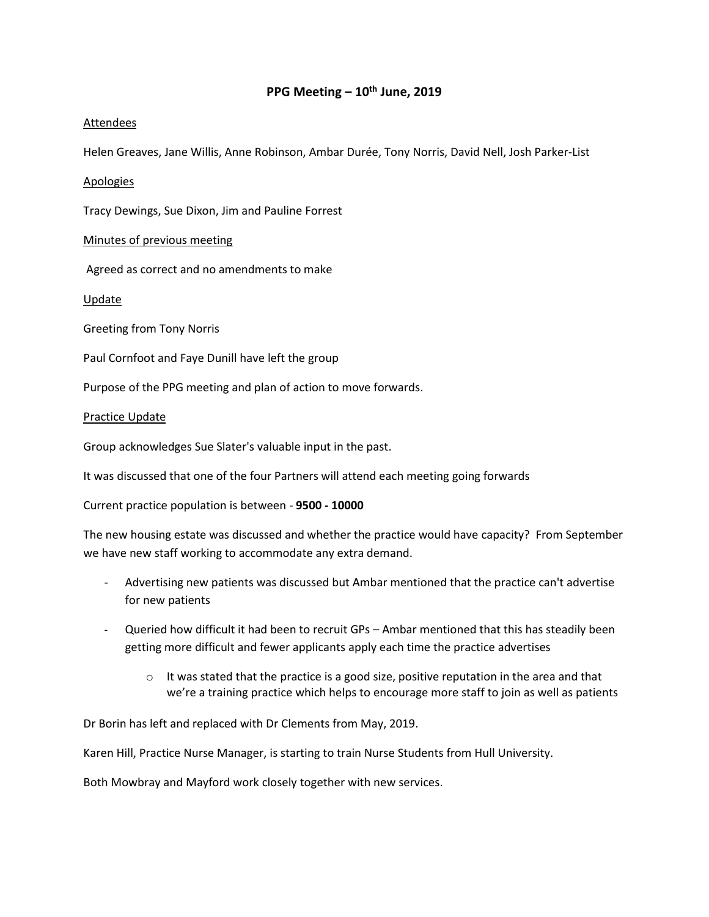## **PPG Meeting – 10th June, 2019**

### Attendees

Helen Greaves, Jane Willis, Anne Robinson, Ambar Durée, Tony Norris, David Nell, Josh Parker-List

Apologies

Tracy Dewings, Sue Dixon, Jim and Pauline Forrest

Minutes of previous meeting

Agreed as correct and no amendments to make

Update

Greeting from Tony Norris

Paul Cornfoot and Faye Dunill have left the group

Purpose of the PPG meeting and plan of action to move forwards.

#### Practice Update

Group acknowledges Sue Slater's valuable input in the past.

It was discussed that one of the four Partners will attend each meeting going forwards

Current practice population is between - **9500 - 10000**

The new housing estate was discussed and whether the practice would have capacity? From September we have new staff working to accommodate any extra demand.

- Advertising new patients was discussed but Ambar mentioned that the practice can't advertise for new patients
- Queried how difficult it had been to recruit GPs Ambar mentioned that this has steadily been getting more difficult and fewer applicants apply each time the practice advertises
	- $\circ$  It was stated that the practice is a good size, positive reputation in the area and that we're a training practice which helps to encourage more staff to join as well as patients

Dr Borin has left and replaced with Dr Clements from May, 2019.

Karen Hill, Practice Nurse Manager, is starting to train Nurse Students from Hull University.

Both Mowbray and Mayford work closely together with new services.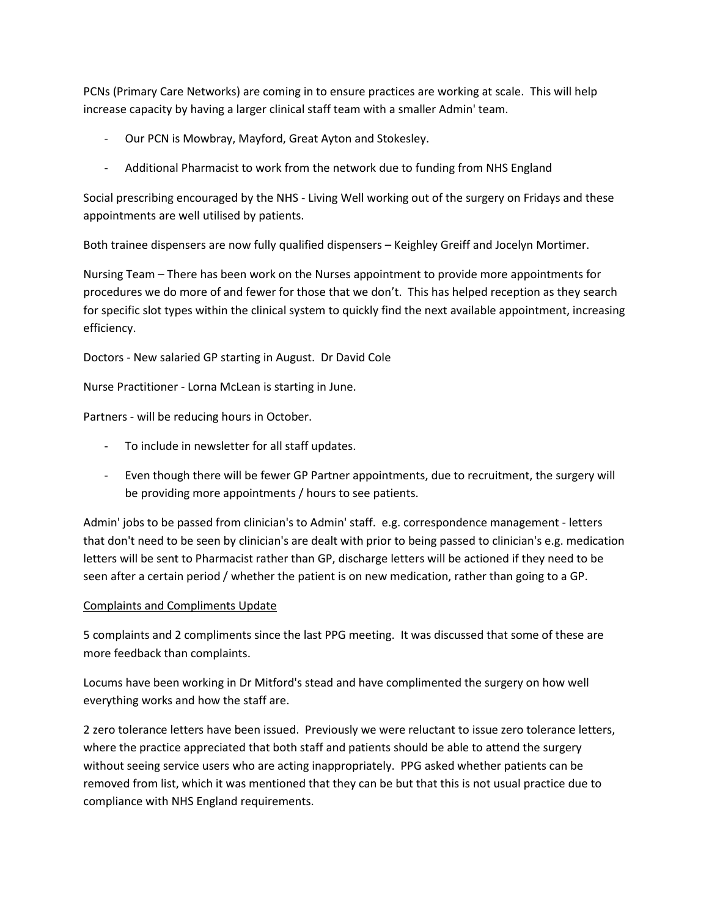PCNs (Primary Care Networks) are coming in to ensure practices are working at scale. This will help increase capacity by having a larger clinical staff team with a smaller Admin' team.

- Our PCN is Mowbray, Mayford, Great Ayton and Stokesley.
- Additional Pharmacist to work from the network due to funding from NHS England

Social prescribing encouraged by the NHS - Living Well working out of the surgery on Fridays and these appointments are well utilised by patients.

Both trainee dispensers are now fully qualified dispensers – Keighley Greiff and Jocelyn Mortimer.

Nursing Team – There has been work on the Nurses appointment to provide more appointments for procedures we do more of and fewer for those that we don't. This has helped reception as they search for specific slot types within the clinical system to quickly find the next available appointment, increasing efficiency.

Doctors - New salaried GP starting in August. Dr David Cole

Nurse Practitioner - Lorna McLean is starting in June.

Partners - will be reducing hours in October.

- To include in newsletter for all staff updates.
- Even though there will be fewer GP Partner appointments, due to recruitment, the surgery will be providing more appointments / hours to see patients.

Admin' jobs to be passed from clinician's to Admin' staff. e.g. correspondence management - letters that don't need to be seen by clinician's are dealt with prior to being passed to clinician's e.g. medication letters will be sent to Pharmacist rather than GP, discharge letters will be actioned if they need to be seen after a certain period / whether the patient is on new medication, rather than going to a GP.

# Complaints and Compliments Update

5 complaints and 2 compliments since the last PPG meeting. It was discussed that some of these are more feedback than complaints.

Locums have been working in Dr Mitford's stead and have complimented the surgery on how well everything works and how the staff are.

2 zero tolerance letters have been issued. Previously we were reluctant to issue zero tolerance letters, where the practice appreciated that both staff and patients should be able to attend the surgery without seeing service users who are acting inappropriately. PPG asked whether patients can be removed from list, which it was mentioned that they can be but that this is not usual practice due to compliance with NHS England requirements.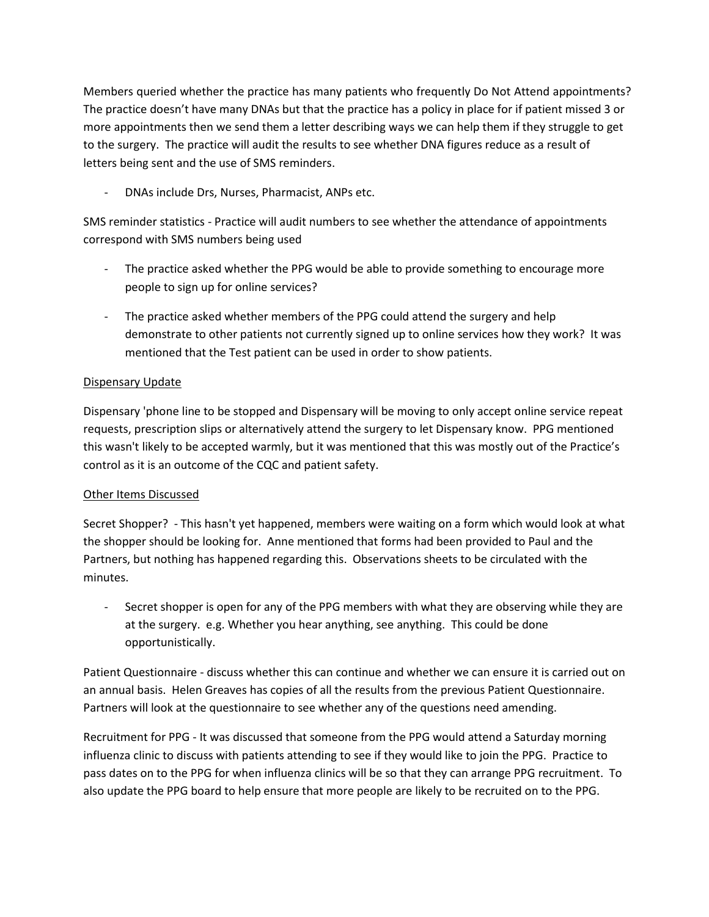Members queried whether the practice has many patients who frequently Do Not Attend appointments? The practice doesn't have many DNAs but that the practice has a policy in place for if patient missed 3 or more appointments then we send them a letter describing ways we can help them if they struggle to get to the surgery. The practice will audit the results to see whether DNA figures reduce as a result of letters being sent and the use of SMS reminders.

- DNAs include Drs, Nurses, Pharmacist, ANPs etc.

SMS reminder statistics - Practice will audit numbers to see whether the attendance of appointments correspond with SMS numbers being used

- The practice asked whether the PPG would be able to provide something to encourage more people to sign up for online services?
- The practice asked whether members of the PPG could attend the surgery and help demonstrate to other patients not currently signed up to online services how they work? It was mentioned that the Test patient can be used in order to show patients.

# Dispensary Update

Dispensary 'phone line to be stopped and Dispensary will be moving to only accept online service repeat requests, prescription slips or alternatively attend the surgery to let Dispensary know. PPG mentioned this wasn't likely to be accepted warmly, but it was mentioned that this was mostly out of the Practice's control as it is an outcome of the CQC and patient safety.

# Other Items Discussed

Secret Shopper? - This hasn't yet happened, members were waiting on a form which would look at what the shopper should be looking for. Anne mentioned that forms had been provided to Paul and the Partners, but nothing has happened regarding this. Observations sheets to be circulated with the minutes.

- Secret shopper is open for any of the PPG members with what they are observing while they are at the surgery. e.g. Whether you hear anything, see anything. This could be done opportunistically.

Patient Questionnaire - discuss whether this can continue and whether we can ensure it is carried out on an annual basis. Helen Greaves has copies of all the results from the previous Patient Questionnaire. Partners will look at the questionnaire to see whether any of the questions need amending.

Recruitment for PPG - It was discussed that someone from the PPG would attend a Saturday morning influenza clinic to discuss with patients attending to see if they would like to join the PPG. Practice to pass dates on to the PPG for when influenza clinics will be so that they can arrange PPG recruitment. To also update the PPG board to help ensure that more people are likely to be recruited on to the PPG.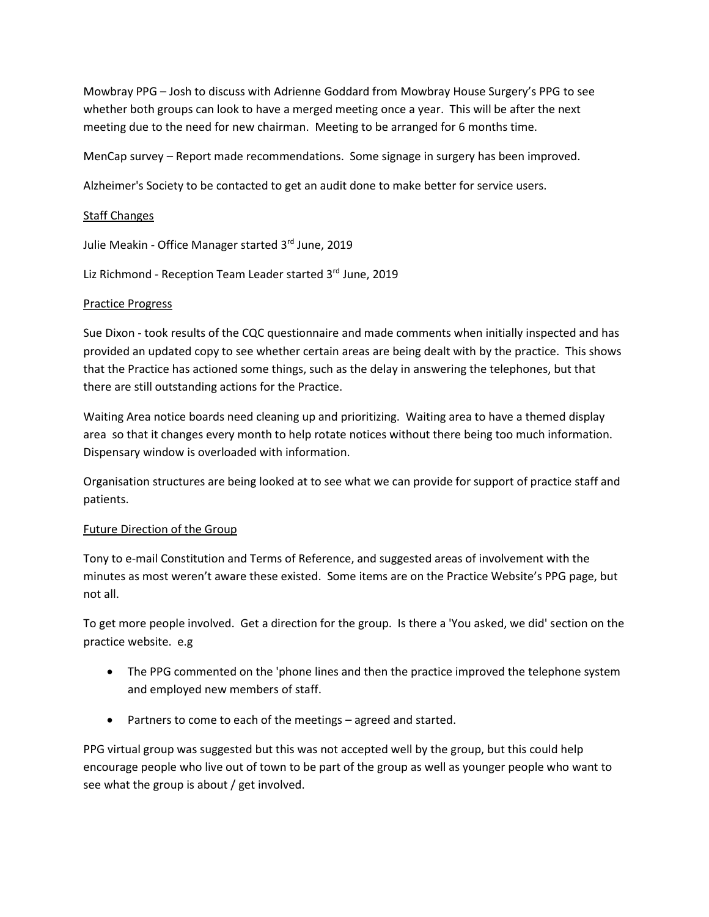Mowbray PPG – Josh to discuss with Adrienne Goddard from Mowbray House Surgery's PPG to see whether both groups can look to have a merged meeting once a year. This will be after the next meeting due to the need for new chairman. Meeting to be arranged for 6 months time.

MenCap survey – Report made recommendations. Some signage in surgery has been improved.

Alzheimer's Society to be contacted to get an audit done to make better for service users.

### Staff Changes

Julie Meakin - Office Manager started 3rd June, 2019

Liz Richmond - Reception Team Leader started 3rd June, 2019

### Practice Progress

Sue Dixon - took results of the CQC questionnaire and made comments when initially inspected and has provided an updated copy to see whether certain areas are being dealt with by the practice. This shows that the Practice has actioned some things, such as the delay in answering the telephones, but that there are still outstanding actions for the Practice.

Waiting Area notice boards need cleaning up and prioritizing. Waiting area to have a themed display area so that it changes every month to help rotate notices without there being too much information. Dispensary window is overloaded with information.

Organisation structures are being looked at to see what we can provide for support of practice staff and patients.

### Future Direction of the Group

Tony to e-mail Constitution and Terms of Reference, and suggested areas of involvement with the minutes as most weren't aware these existed. Some items are on the Practice Website's PPG page, but not all.

To get more people involved. Get a direction for the group. Is there a 'You asked, we did' section on the practice website. e.g

- The PPG commented on the 'phone lines and then the practice improved the telephone system and employed new members of staff.
- Partners to come to each of the meetings agreed and started.

PPG virtual group was suggested but this was not accepted well by the group, but this could help encourage people who live out of town to be part of the group as well as younger people who want to see what the group is about / get involved.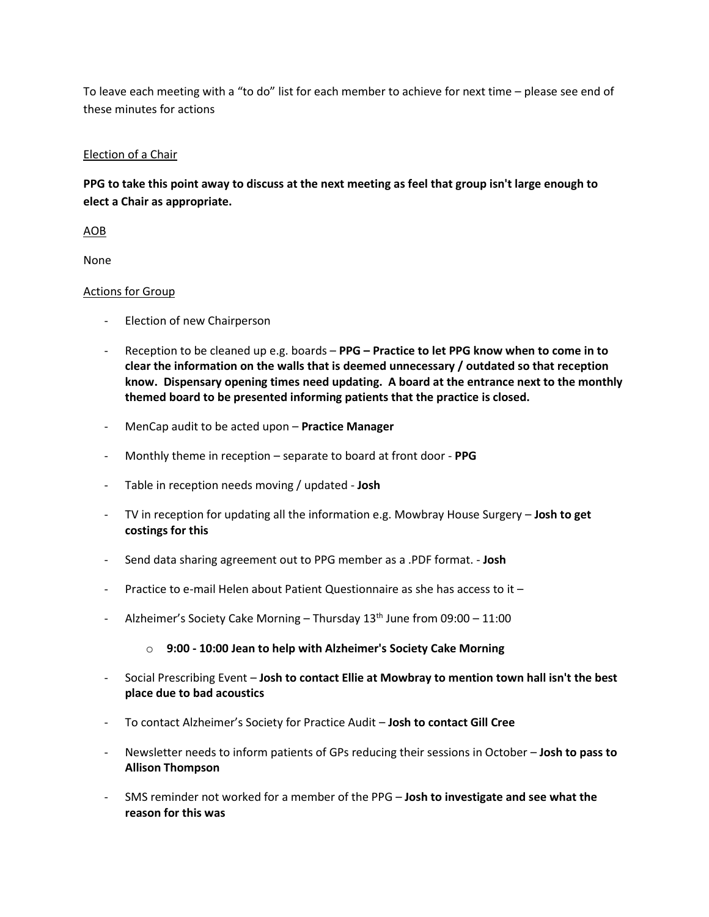To leave each meeting with a "to do" list for each member to achieve for next time – please see end of these minutes for actions

## Election of a Chair

**PPG to take this point away to discuss at the next meeting as feel that group isn't large enough to elect a Chair as appropriate.**

AOB

None

## Actions for Group

- Election of new Chairperson
- Reception to be cleaned up e.g. boards **PPG – Practice to let PPG know when to come in to clear the information on the walls that is deemed unnecessary / outdated so that reception know. Dispensary opening times need updating. A board at the entrance next to the monthly themed board to be presented informing patients that the practice is closed.**
- MenCap audit to be acted upon **Practice Manager**
- Monthly theme in reception separate to board at front door **PPG**
- Table in reception needs moving / updated **Josh**
- TV in reception for updating all the information e.g. Mowbray House Surgery **Josh to get costings for this**
- Send data sharing agreement out to PPG member as a .PDF format. **Josh**
- Practice to e-mail Helen about Patient Questionnaire as she has access to it –
- Alzheimer's Society Cake Morning Thursday  $13<sup>th</sup>$  June from 09:00 11:00
	- o **9:00 - 10:00 Jean to help with Alzheimer's Society Cake Morning**
- Social Prescribing Event **Josh to contact Ellie at Mowbray to mention town hall isn't the best place due to bad acoustics**
- To contact Alzheimer's Society for Practice Audit **Josh to contact Gill Cree**
- Newsletter needs to inform patients of GPs reducing their sessions in October **Josh to pass to Allison Thompson**
- SMS reminder not worked for a member of the PPG **Josh to investigate and see what the reason for this was**